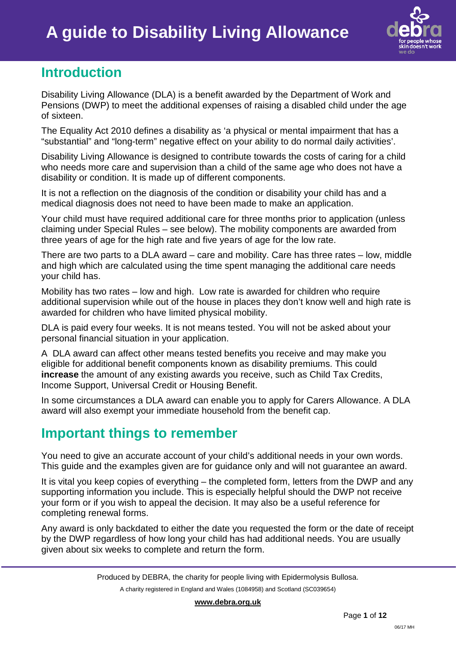

## **Introduction**

Disability Living Allowance (DLA) is a benefit awarded by the Department of Work and Pensions (DWP) to meet the additional expenses of raising a disabled child under the age of sixteen.

The Equality Act 2010 defines a disability as 'a physical or mental impairment that has a "substantial" and "long-term" negative effect on your ability to do normal daily activities'.

Disability Living Allowance is designed to contribute towards the costs of caring for a child who needs more care and supervision than a child of the same age who does not have a disability or condition. It is made up of different components.

It is not a reflection on the diagnosis of the condition or disability your child has and a medical diagnosis does not need to have been made to make an application.

Your child must have required additional care for three months prior to application (unless claiming under Special Rules – see below). The mobility components are awarded from three years of age for the high rate and five years of age for the low rate.

There are two parts to a DLA award – care and mobility. Care has three rates – low, middle and high which are calculated using the time spent managing the additional care needs your child has.

Mobility has two rates – low and high. Low rate is awarded for children who require additional supervision while out of the house in places they don't know well and high rate is awarded for children who have limited physical mobility.

DLA is paid every four weeks. It is not means tested. You will not be asked about your personal financial situation in your application.

A DLA award can affect other means tested benefits you receive and may make you eligible for additional benefit components known as disability premiums. This could **increase** the amount of any existing awards you receive, such as Child Tax Credits, Income Support, Universal Credit or Housing Benefit.

In some circumstances a DLA award can enable you to apply for Carers Allowance. A DLA award will also exempt your immediate household from the benefit cap.

## **Important things to remember**

You need to give an accurate account of your child's additional needs in your own words. This guide and the examples given are for guidance only and will not guarantee an award.

It is vital you keep copies of everything – the completed form, letters from the DWP and any supporting information you include. This is especially helpful should the DWP not receive your form or if you wish to appeal the decision. It may also be a useful reference for completing renewal forms.

Any award is only backdated to either the date you requested the form or the date of receipt by the DWP regardless of how long your child has had additional needs. You are usually given about six weeks to complete and return the form.

A charity registered in England and Wales (1084958) and Scotland (SC039654)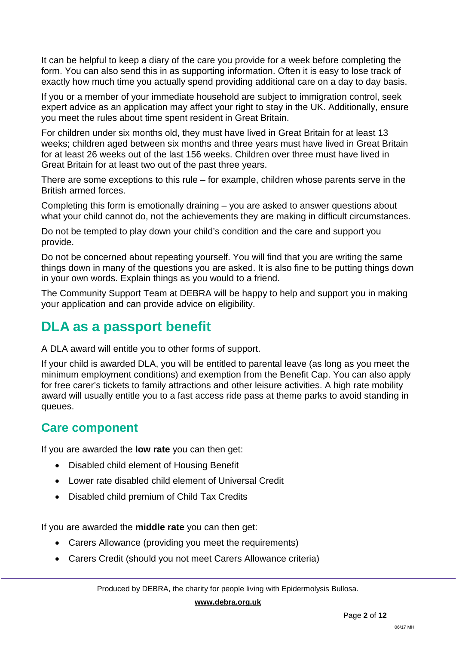It can be helpful to keep a diary of the care you provide for a week before completing the form. You can also send this in as supporting information. Often it is easy to lose track of exactly how much time you actually spend providing additional care on a day to day basis.

If you or a member of your immediate household are subject to immigration control, seek expert advice as an application may affect your right to stay in the UK. Additionally, ensure you meet the rules about time spent resident in Great Britain.

For children under six months old, they must have lived in Great Britain for at least 13 weeks; children aged between six months and three years must have lived in Great Britain for at least 26 weeks out of the last 156 weeks. Children over three must have lived in Great Britain for at least two out of the past three years.

There are some exceptions to this rule – for example, children whose parents serve in the British armed forces.

Completing this form is emotionally draining – you are asked to answer questions about what your child cannot do, not the achievements they are making in difficult circumstances.

Do not be tempted to play down your child's condition and the care and support you provide.

Do not be concerned about repeating yourself. You will find that you are writing the same things down in many of the questions you are asked. It is also fine to be putting things down in your own words. Explain things as you would to a friend.

The Community Support Team at DEBRA will be happy to help and support you in making your application and can provide advice on eligibility.

# **DLA as a passport benefit**

A DLA award will entitle you to other forms of support.

If your child is awarded DLA, you will be entitled to parental leave (as long as you meet the minimum employment conditions) and exemption from the Benefit Cap. You can also apply for free carer's tickets to family attractions and other leisure activities. A high rate mobility award will usually entitle you to a fast access ride pass at theme parks to avoid standing in queues.

## **Care component**

If you are awarded the **low rate** you can then get:

- Disabled child element of Housing Benefit
- Lower rate disabled child element of Universal Credit
- Disabled child premium of Child Tax Credits

If you are awarded the **middle rate** you can then get:

- Carers Allowance (providing you meet the requirements)
- Carers Credit (should you not meet Carers Allowance criteria)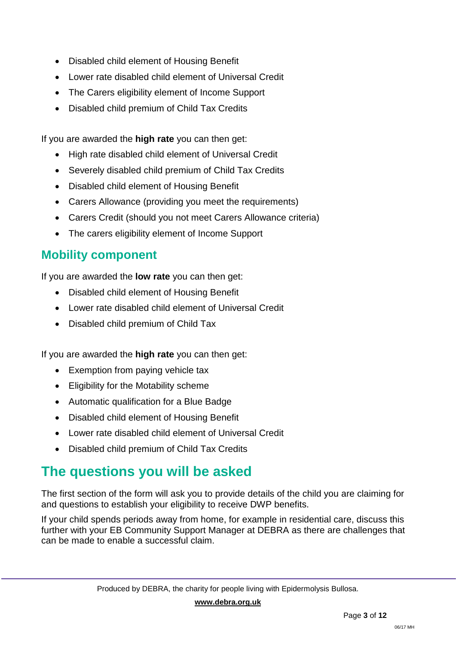- Disabled child element of Housing Benefit
- Lower rate disabled child element of Universal Credit
- The Carers eligibility element of Income Support
- Disabled child premium of Child Tax Credits

If you are awarded the **high rate** you can then get:

- High rate disabled child element of Universal Credit
- Severely disabled child premium of Child Tax Credits
- Disabled child element of Housing Benefit
- Carers Allowance (providing you meet the requirements)
- Carers Credit (should you not meet Carers Allowance criteria)
- The carers eligibility element of Income Support

## **Mobility component**

If you are awarded the **low rate** you can then get:

- Disabled child element of Housing Benefit
- Lower rate disabled child element of Universal Credit
- Disabled child premium of Child Tax

If you are awarded the **high rate** you can then get:

- Exemption from paying vehicle tax
- Eligibility for the Motability scheme
- Automatic qualification for a Blue Badge
- Disabled child element of Housing Benefit
- Lower rate disabled child element of Universal Credit
- Disabled child premium of Child Tax Credits

# **The questions you will be asked**

The first section of the form will ask you to provide details of the child you are claiming for and questions to establish your eligibility to receive DWP benefits.

If your child spends periods away from home, for example in residential care, discuss this further with your EB Community Support Manager at DEBRA as there are challenges that can be made to enable a successful claim.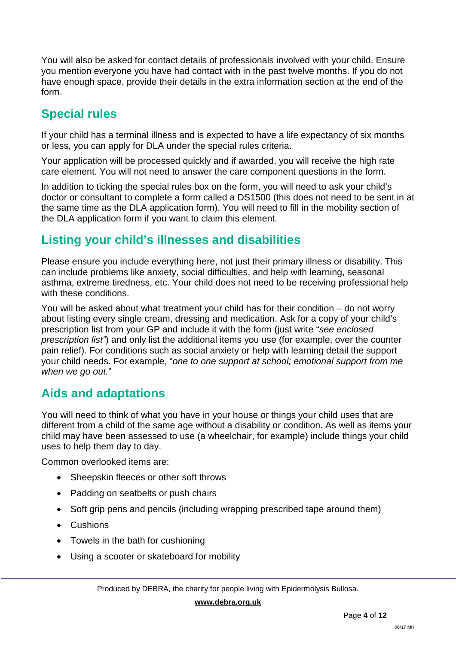You will also be asked for contact details of professionals involved with your child. Ensure you mention everyone you have had contact with in the past twelve months. If you do not have enough space, provide their details in the extra information section at the end of the form.

## **Special rules**

If your child has a terminal illness and is expected to have a life expectancy of six months or less, you can apply for DLA under the special rules criteria.

Your application will be processed quickly and if awarded, you will receive the high rate care element. You will not need to answer the care component questions in the form.

In addition to ticking the special rules box on the form, you will need to ask your child's doctor or consultant to complete a form called a DS1500 (this does not need to be sent in at the same time as the DLA application form). You will need to fill in the mobility section of the DLA application form if you want to claim this element.

## **Listing your child's illnesses and disabilities**

Please ensure you include everything here, not just their primary illness or disability. This can include problems like anxiety, social difficulties, and help with learning, seasonal asthma, extreme tiredness, etc. Your child does not need to be receiving professional help with these conditions.

You will be asked about what treatment your child has for their condition – do not worry about listing every single cream, dressing and medication. Ask for a copy of your child's prescription list from your GP and include it with the form (just write "*see enclosed prescription list"*) and only list the additional items you use (for example, over the counter pain relief). For conditions such as social anxiety or help with learning detail the support your child needs. For example, "*one to one support at school; emotional support from me when we go out.*"

## **Aids and adaptations**

You will need to think of what you have in your house or things your child uses that are different from a child of the same age without a disability or condition. As well as items your child may have been assessed to use (a wheelchair, for example) include things your child uses to help them day to day.

Common overlooked items are:

- Sheepskin fleeces or other soft throws
- Padding on seatbelts or push chairs
- Soft grip pens and pencils (including wrapping prescribed tape around them)
- Cushions
- Towels in the bath for cushioning
- Using a scooter or skateboard for mobility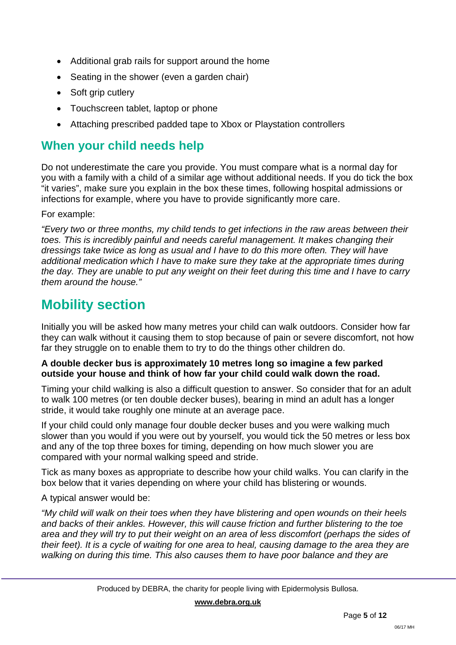- Additional grab rails for support around the home
- Seating in the shower (even a garden chair)
- Soft grip cutlery
- Touchscreen tablet, laptop or phone
- Attaching prescribed padded tape to Xbox or Playstation controllers

## **When your child needs help**

Do not underestimate the care you provide. You must compare what is a normal day for you with a family with a child of a similar age without additional needs. If you do tick the box "it varies", make sure you explain in the box these times, following hospital admissions or infections for example, where you have to provide significantly more care.

For example:

*"Every two or three months, my child tends to get infections in the raw areas between their toes. This is incredibly painful and needs careful management. It makes changing their dressings take twice as long as usual and I have to do this more often. They will have additional medication which I have to make sure they take at the appropriate times during the day. They are unable to put any weight on their feet during this time and I have to carry them around the house."*

# **Mobility section**

Initially you will be asked how many metres your child can walk outdoors. Consider how far they can walk without it causing them to stop because of pain or severe discomfort, not how far they struggle on to enable them to try to do the things other children do.

### **A double decker bus is approximately 10 metres long so imagine a few parked outside your house and think of how far your child could walk down the road.**

Timing your child walking is also a difficult question to answer. So consider that for an adult to walk 100 metres (or ten double decker buses), bearing in mind an adult has a longer stride, it would take roughly one minute at an average pace.

If your child could only manage four double decker buses and you were walking much slower than you would if you were out by yourself, you would tick the 50 metres or less box and any of the top three boxes for timing, depending on how much slower you are compared with your normal walking speed and stride.

Tick as many boxes as appropriate to describe how your child walks. You can clarify in the box below that it varies depending on where your child has blistering or wounds.

A typical answer would be:

*"My child will walk on their toes when they have blistering and open wounds on their heels and backs of their ankles. However, this will cause friction and further blistering to the toe area and they will try to put their weight on an area of less discomfort (perhaps the sides of their feet). It is a cycle of waiting for one area to heal, causing damage to the area they are walking on during this time. This also causes them to have poor balance and they are*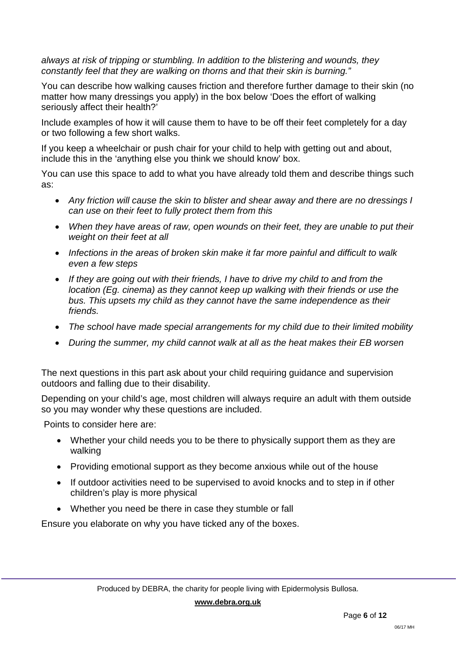*always at risk of tripping or stumbling. In addition to the blistering and wounds, they constantly feel that they are walking on thorns and that their skin is burning."*

You can describe how walking causes friction and therefore further damage to their skin (no matter how many dressings you apply) in the box below 'Does the effort of walking seriously affect their health?'

Include examples of how it will cause them to have to be off their feet completely for a day or two following a few short walks.

If you keep a wheelchair or push chair for your child to help with getting out and about, include this in the 'anything else you think we should know' box.

You can use this space to add to what you have already told them and describe things such as:

- *Any friction will cause the skin to blister and shear away and there are no dressings I can use on their feet to fully protect them from this*
- *When they have areas of raw, open wounds on their feet, they are unable to put their weight on their feet at all*
- *Infections in the areas of broken skin make it far more painful and difficult to walk even a few steps*
- *If they are going out with their friends, I have to drive my child to and from the location (Eg. cinema) as they cannot keep up walking with their friends or use the bus. This upsets my child as they cannot have the same independence as their friends.*
- *The school have made special arrangements for my child due to their limited mobility*
- *During the summer, my child cannot walk at all as the heat makes their EB worsen*

The next questions in this part ask about your child requiring guidance and supervision outdoors and falling due to their disability.

Depending on your child's age, most children will always require an adult with them outside so you may wonder why these questions are included.

Points to consider here are:

- Whether your child needs you to be there to physically support them as they are walking
- Providing emotional support as they become anxious while out of the house
- If outdoor activities need to be supervised to avoid knocks and to step in if other children's play is more physical
- Whether you need be there in case they stumble or fall

Ensure you elaborate on why you have ticked any of the boxes.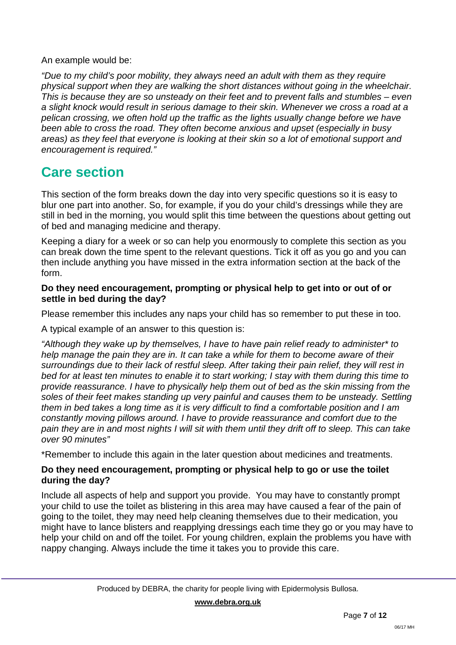### An example would be:

*"Due to my child's poor mobility, they always need an adult with them as they require physical support when they are walking the short distances without going in the wheelchair. This is because they are so unsteady on their feet and to prevent falls and stumbles – even a slight knock would result in serious damage to their skin. Whenever we cross a road at a pelican crossing, we often hold up the traffic as the lights usually change before we have been able to cross the road. They often become anxious and upset (especially in busy areas) as they feel that everyone is looking at their skin so a lot of emotional support and encouragement is required."*

## **Care section**

This section of the form breaks down the day into very specific questions so it is easy to blur one part into another. So, for example, if you do your child's dressings while they are still in bed in the morning, you would split this time between the questions about getting out of bed and managing medicine and therapy.

Keeping a diary for a week or so can help you enormously to complete this section as you can break down the time spent to the relevant questions. Tick it off as you go and you can then include anything you have missed in the extra information section at the back of the form.

### **Do they need encouragement, prompting or physical help to get into or out of or settle in bed during the day?**

Please remember this includes any naps your child has so remember to put these in too.

A typical example of an answer to this question is:

*"Although they wake up by themselves, I have to have pain relief ready to administer\* to help manage the pain they are in. It can take a while for them to become aware of their surroundings due to their lack of restful sleep. After taking their pain relief, they will rest in bed for at least ten minutes to enable it to start working; I stay with them during this time to provide reassurance. I have to physically help them out of bed as the skin missing from the soles of their feet makes standing up very painful and causes them to be unsteady. Settling them in bed takes a long time as it is very difficult to find a comfortable position and I am constantly moving pillows around. I have to provide reassurance and comfort due to the pain they are in and most nights I will sit with them until they drift off to sleep. This can take over 90 minutes"*

\*Remember to include this again in the later question about medicines and treatments.

## **Do they need encouragement, prompting or physical help to go or use the toilet during the day?**

Include all aspects of help and support you provide. You may have to constantly prompt your child to use the toilet as blistering in this area may have caused a fear of the pain of going to the toilet, they may need help cleaning themselves due to their medication, you might have to lance blisters and reapplying dressings each time they go or you may have to help your child on and off the toilet. For young children, explain the problems you have with nappy changing. Always include the time it takes you to provide this care.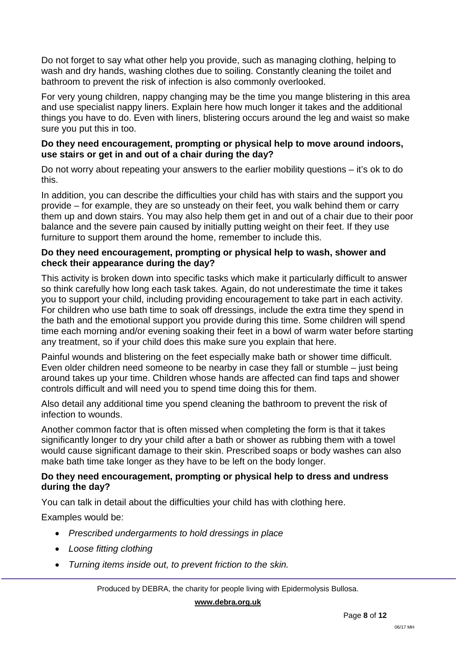Do not forget to say what other help you provide, such as managing clothing, helping to wash and dry hands, washing clothes due to soiling. Constantly cleaning the toilet and bathroom to prevent the risk of infection is also commonly overlooked.

For very young children, nappy changing may be the time you mange blistering in this area and use specialist nappy liners. Explain here how much longer it takes and the additional things you have to do. Even with liners, blistering occurs around the leg and waist so make sure you put this in too.

### **Do they need encouragement, prompting or physical help to move around indoors, use stairs or get in and out of a chair during the day?**

Do not worry about repeating your answers to the earlier mobility questions – it's ok to do this.

In addition, you can describe the difficulties your child has with stairs and the support you provide – for example, they are so unsteady on their feet, you walk behind them or carry them up and down stairs. You may also help them get in and out of a chair due to their poor balance and the severe pain caused by initially putting weight on their feet. If they use furniture to support them around the home, remember to include this.

### **Do they need encouragement, prompting or physical help to wash, shower and check their appearance during the day?**

This activity is broken down into specific tasks which make it particularly difficult to answer so think carefully how long each task takes. Again, do not underestimate the time it takes you to support your child, including providing encouragement to take part in each activity. For children who use bath time to soak off dressings, include the extra time they spend in the bath and the emotional support you provide during this time. Some children will spend time each morning and/or evening soaking their feet in a bowl of warm water before starting any treatment, so if your child does this make sure you explain that here.

Painful wounds and blistering on the feet especially make bath or shower time difficult. Even older children need someone to be nearby in case they fall or stumble – just being around takes up your time. Children whose hands are affected can find taps and shower controls difficult and will need you to spend time doing this for them.

Also detail any additional time you spend cleaning the bathroom to prevent the risk of infection to wounds.

Another common factor that is often missed when completing the form is that it takes significantly longer to dry your child after a bath or shower as rubbing them with a towel would cause significant damage to their skin. Prescribed soaps or body washes can also make bath time take longer as they have to be left on the body longer.

### **Do they need encouragement, prompting or physical help to dress and undress during the day?**

You can talk in detail about the difficulties your child has with clothing here.

Examples would be:

- *Prescribed undergarments to hold dressings in place*
- *Loose fitting clothing*
- *Turning items inside out, to prevent friction to the skin.*

Produced by DEBRA, the charity for people living with Epidermolysis Bullosa.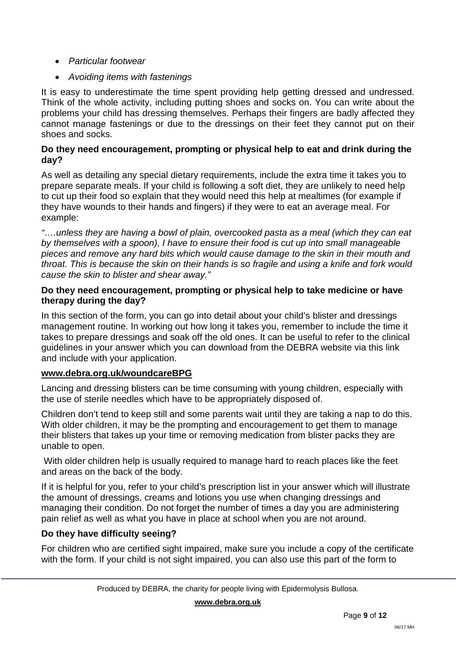- *Particular footwear*
- *Avoiding items with fastenings*

It is easy to underestimate the time spent providing help getting dressed and undressed. Think of the whole activity, including putting shoes and socks on. You can write about the problems your child has dressing themselves. Perhaps their fingers are badly affected they cannot manage fastenings or due to the dressings on their feet they cannot put on their shoes and socks.

### **Do they need encouragement, prompting or physical help to eat and drink during the day?**

As well as detailing any special dietary requirements, include the extra time it takes you to prepare separate meals. If your child is following a soft diet, they are unlikely to need help to cut up their food so explain that they would need this help at mealtimes (for example if they have wounds to their hands and fingers) if they were to eat an average meal. For example:

*"….unless they are having a bowl of plain, overcooked pasta as a meal (which they can eat by themselves with a spoon), I have to ensure their food is cut up into small manageable pieces and remove any hard bits which would cause damage to the skin in their mouth and throat. This is because the skin on their hands is so fragile and using a knife and fork would cause the skin to blister and shear away."*

### **Do they need encouragement, prompting or physical help to take medicine or have therapy during the day?**

In this section of the form, you can go into detail about your child's blister and dressings management routine. In working out how long it takes you, remember to include the time it takes to prepare dressings and soak off the old ones. It can be useful to refer to the clinical guidelines in your answer which you can download from the DEBRA website via this link and include with your application.

## **[www.debra.org.uk/woundcareBPG](https://www.debra.org.uk/woundcareBPG)**

Lancing and dressing blisters can be time consuming with young children, especially with the use of sterile needles which have to be appropriately disposed of.

Children don't tend to keep still and some parents wait until they are taking a nap to do this. With older children, it may be the prompting and encouragement to get them to manage their blisters that takes up your time or removing medication from blister packs they are unable to open.

With older children help is usually required to manage hard to reach places like the feet and areas on the back of the body.

If it is helpful for you, refer to your child's prescription list in your answer which will illustrate the amount of dressings, creams and lotions you use when changing dressings and managing their condition. Do not forget the number of times a day you are administering pain relief as well as what you have in place at school when you are not around.

## **Do they have difficulty seeing?**

For children who are certified sight impaired, make sure you include a copy of the certificate with the form. If your child is not sight impaired, you can also use this part of the form to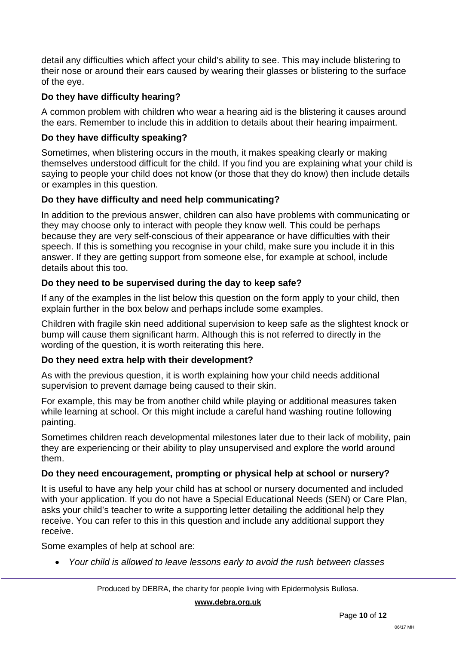detail any difficulties which affect your child's ability to see. This may include blistering to their nose or around their ears caused by wearing their glasses or blistering to the surface of the eye.

## **Do they have difficulty hearing?**

A common problem with children who wear a hearing aid is the blistering it causes around the ears. Remember to include this in addition to details about their hearing impairment.

## **Do they have difficulty speaking?**

Sometimes, when blistering occurs in the mouth, it makes speaking clearly or making themselves understood difficult for the child. If you find you are explaining what your child is saying to people your child does not know (or those that they do know) then include details or examples in this question.

## **Do they have difficulty and need help communicating?**

In addition to the previous answer, children can also have problems with communicating or they may choose only to interact with people they know well. This could be perhaps because they are very self-conscious of their appearance or have difficulties with their speech. If this is something you recognise in your child, make sure you include it in this answer. If they are getting support from someone else, for example at school, include details about this too.

## **Do they need to be supervised during the day to keep safe?**

If any of the examples in the list below this question on the form apply to your child, then explain further in the box below and perhaps include some examples.

Children with fragile skin need additional supervision to keep safe as the slightest knock or bump will cause them significant harm. Although this is not referred to directly in the wording of the question, it is worth reiterating this here.

## **Do they need extra help with their development?**

As with the previous question, it is worth explaining how your child needs additional supervision to prevent damage being caused to their skin.

For example, this may be from another child while playing or additional measures taken while learning at school. Or this might include a careful hand washing routine following painting.

Sometimes children reach developmental milestones later due to their lack of mobility, pain they are experiencing or their ability to play unsupervised and explore the world around them.

## **Do they need encouragement, prompting or physical help at school or nursery?**

It is useful to have any help your child has at school or nursery documented and included with your application. If you do not have a Special Educational Needs (SEN) or Care Plan, asks your child's teacher to write a supporting letter detailing the additional help they receive. You can refer to this in this question and include any additional support they receive.

Some examples of help at school are:

• *Your child is allowed to leave lessons early to avoid the rush between classes*

Produced by DEBRA, the charity for people living with Epidermolysis Bullosa.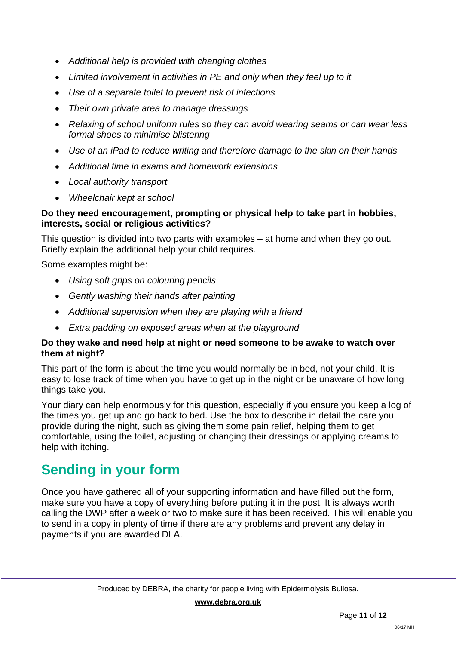- *Additional help is provided with changing clothes*
- *Limited involvement in activities in PE and only when they feel up to it*
- *Use of a separate toilet to prevent risk of infections*
- *Their own private area to manage dressings*
- *Relaxing of school uniform rules so they can avoid wearing seams or can wear less formal shoes to minimise blistering*
- *Use of an iPad to reduce writing and therefore damage to the skin on their hands*
- *Additional time in exams and homework extensions*
- *Local authority transport*
- *Wheelchair kept at school*

### **Do they need encouragement, prompting or physical help to take part in hobbies, interests, social or religious activities?**

This question is divided into two parts with examples – at home and when they go out. Briefly explain the additional help your child requires.

Some examples might be:

- *Using soft grips on colouring pencils*
- *Gently washing their hands after painting*
- *Additional supervision when they are playing with a friend*
- *Extra padding on exposed areas when at the playground*

## **Do they wake and need help at night or need someone to be awake to watch over them at night?**

This part of the form is about the time you would normally be in bed, not your child. It is easy to lose track of time when you have to get up in the night or be unaware of how long things take you.

Your diary can help enormously for this question, especially if you ensure you keep a log of the times you get up and go back to bed. Use the box to describe in detail the care you provide during the night, such as giving them some pain relief, helping them to get comfortable, using the toilet, adjusting or changing their dressings or applying creams to help with itching.

# **Sending in your form**

Once you have gathered all of your supporting information and have filled out the form, make sure you have a copy of everything before putting it in the post. It is always worth calling the DWP after a week or two to make sure it has been received. This will enable you to send in a copy in plenty of time if there are any problems and prevent any delay in payments if you are awarded DLA.